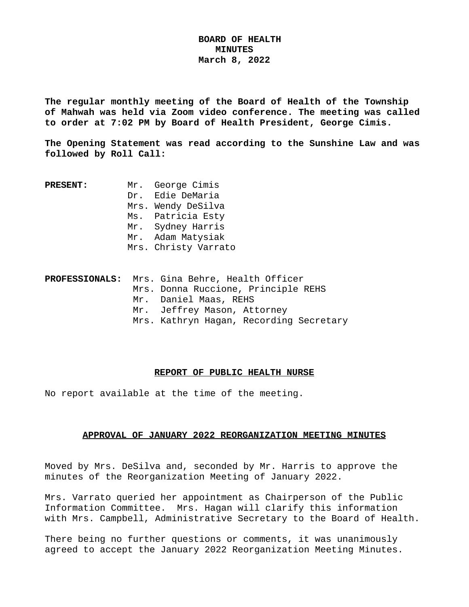# **BOARD OF HEALTH MINUTES March 8, 2022**

**The regular monthly meeting of the Board of Health of the Township of Mahwah was held via Zoom video conference. The meeting was called to order at 7:02 PM by Board of Health President, George Cimis.**

**The Opening Statement was read according to the Sunshine Law and was followed by Roll Call:**

**PRESENT:** Mr. George Cimis Dr. Edie DeMaria Mrs. Wendy DeSilva Ms. Patricia Esty Mr. Sydney Harris Mr. Adam Matysiak Mrs. Christy Varrato

| PROFESSIONALS: Mrs. Gina Behre, Health Officer |                             |                                         |
|------------------------------------------------|-----------------------------|-----------------------------------------|
|                                                |                             | Mrs. Donna Ruccione, Principle REHS     |
|                                                | Mr. Daniel Maas, REHS       |                                         |
|                                                | Mr. Jeffrey Mason, Attorney |                                         |
|                                                |                             | Mrs. Kathryn Hagan, Recording Secretary |

### **REPORT OF PUBLIC HEALTH NURSE**

No report available at the time of the meeting.

## **APPROVAL OF JANUARY 2022 REORGANIZATION MEETING MINUTES**

Moved by Mrs. DeSilva and, seconded by Mr. Harris to approve the minutes of the Reorganization Meeting of January 2022.

Mrs. Varrato queried her appointment as Chairperson of the Public Information Committee. Mrs. Hagan will clarify this information with Mrs. Campbell, Administrative Secretary to the Board of Health.

There being no further questions or comments, it was unanimously agreed to accept the January 2022 Reorganization Meeting Minutes.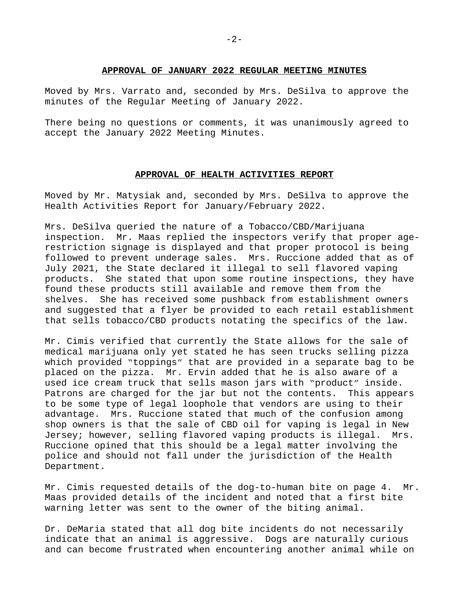#### **APPROVAL OF JANUARY 2022 REGULAR MEETING MINUTES**

Moved by Mrs. Varrato and, seconded by Mrs. DeSilva to approve the minutes of the Regular Meeting of January 2022.

There being no questions or comments, it was unanimously agreed to accept the January 2022 Meeting Minutes.

## **APPROVAL OF HEALTH ACTIVITIES REPORT**

Moved by Mr. Matysiak and, seconded by Mrs. DeSilva to approve the Health Activities Report for January/February 2022.

Mrs. DeSilva queried the nature of a Tobacco/CBD/Marijuana inspection. Mr. Maas replied the inspectors verify that proper agerestriction signage is displayed and that proper protocol is being followed to prevent underage sales. Mrs. Ruccione added that as of July 2021, the State declared it illegal to sell flavored vaping products. She stated that upon some routine inspections, they have found these products still available and remove them from the shelves. She has received some pushback from establishment owners and suggested that a flyer be provided to each retail establishment that sells tobacco/CBD products notating the specifics of the law.

Mr. Cimis verified that currently the State allows for the sale of medical marijuana only yet stated he has seen trucks selling pizza which provided "toppings" that are provided in a separate bag to be placed on the pizza. Mr. Ervin added that he is also aware of a used ice cream truck that sells mason jars with "product" inside. Patrons are charged for the jar but not the contents. This appears to be some type of legal loophole that vendors are using to their advantage. Mrs. Ruccione stated that much of the confusion among shop owners is that the sale of CBD oil for vaping is legal in New Jersey; however, selling flavored vaping products is illegal. Mrs. Ruccione opined that this should be a legal matter involving the police and should not fall under the jurisdiction of the Health Department.

Mr. Cimis requested details of the dog-to-human bite on page 4. Mr. Maas provided details of the incident and noted that a first bite warning letter was sent to the owner of the biting animal.

Dr. DeMaria stated that all dog bite incidents do not necessarily indicate that an animal is aggressive. Dogs are naturally curious and can become frustrated when encountering another animal while on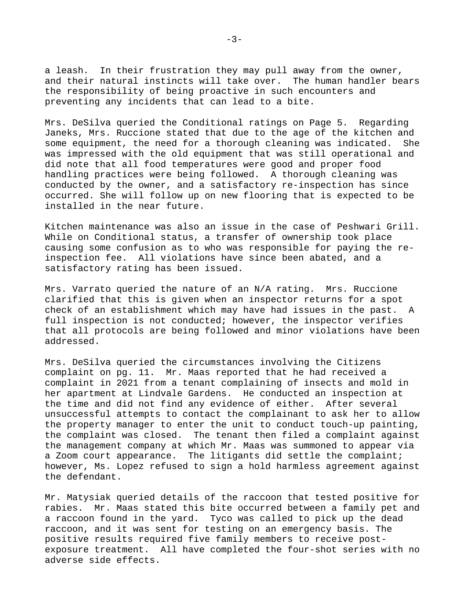a leash. In their frustration they may pull away from the owner, and their natural instincts will take over. The human handler bears the responsibility of being proactive in such encounters and preventing any incidents that can lead to a bite.

Mrs. DeSilva queried the Conditional ratings on Page 5. Regarding Janeks, Mrs. Ruccione stated that due to the age of the kitchen and some equipment, the need for a thorough cleaning was indicated. She was impressed with the old equipment that was still operational and did note that all food temperatures were good and proper food handling practices were being followed. A thorough cleaning was conducted by the owner, and a satisfactory re-inspection has since occurred. She will follow up on new flooring that is expected to be installed in the near future.

Kitchen maintenance was also an issue in the case of Peshwari Grill. While on Conditional status, a transfer of ownership took place causing some confusion as to who was responsible for paying the reinspection fee. All violations have since been abated, and a satisfactory rating has been issued.

Mrs. Varrato queried the nature of an N/A rating. Mrs. Ruccione clarified that this is given when an inspector returns for a spot check of an establishment which may have had issues in the past. A full inspection is not conducted; however, the inspector verifies that all protocols are being followed and minor violations have been addressed.

Mrs. DeSilva queried the circumstances involving the Citizens complaint on pg. 11. Mr. Maas reported that he had received a complaint in 2021 from a tenant complaining of insects and mold in her apartment at Lindvale Gardens. He conducted an inspection at the time and did not find any evidence of either. After several unsuccessful attempts to contact the complainant to ask her to allow the property manager to enter the unit to conduct touch-up painting, the complaint was closed. The tenant then filed a complaint against the management company at which Mr. Maas was summoned to appear via a Zoom court appearance. The litigants did settle the complaint; however, Ms. Lopez refused to sign a hold harmless agreement against the defendant.

Mr. Matysiak queried details of the raccoon that tested positive for rabies. Mr. Maas stated this bite occurred between a family pet and a raccoon found in the yard. Tyco was called to pick up the dead raccoon, and it was sent for testing on an emergency basis. The positive results required five family members to receive postexposure treatment. All have completed the four-shot series with no adverse side effects.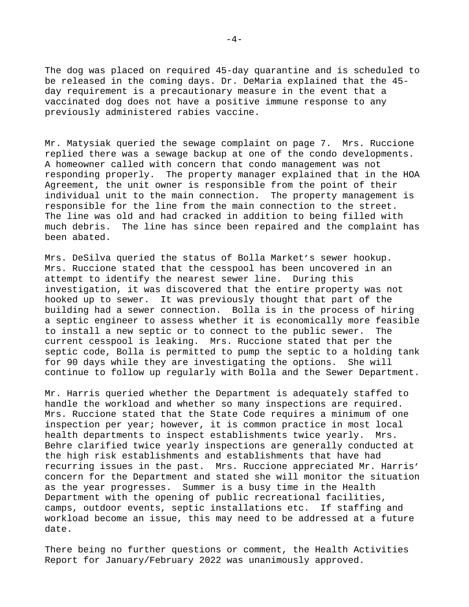The dog was placed on required 45-day quarantine and is scheduled to be released in the coming days. Dr. DeMaria explained that the 45 day requirement is a precautionary measure in the event that a vaccinated dog does not have a positive immune response to any previously administered rabies vaccine.

Mr. Matysiak queried the sewage complaint on page 7. Mrs. Ruccione replied there was a sewage backup at one of the condo developments. A homeowner called with concern that condo management was not responding properly. The property manager explained that in the HOA Agreement, the unit owner is responsible from the point of their individual unit to the main connection. The property management is responsible for the line from the main connection to the street. The line was old and had cracked in addition to being filled with much debris. The line has since been repaired and the complaint has been abated.

Mrs. DeSilva queried the status of Bolla Market's sewer hookup. Mrs. Ruccione stated that the cesspool has been uncovered in an attempt to identify the nearest sewer line. During this investigation, it was discovered that the entire property was not hooked up to sewer. It was previously thought that part of the building had a sewer connection. Bolla is in the process of hiring a septic engineer to assess whether it is economically more feasible to install a new septic or to connect to the public sewer. The current cesspool is leaking. Mrs. Ruccione stated that per the septic code, Bolla is permitted to pump the septic to a holding tank for 90 days while they are investigating the options. She will continue to follow up regularly with Bolla and the Sewer Department.

Mr. Harris queried whether the Department is adequately staffed to handle the workload and whether so many inspections are required. Mrs. Ruccione stated that the State Code requires a minimum of one inspection per year; however, it is common practice in most local health departments to inspect establishments twice yearly. Mrs. Behre clarified twice yearly inspections are generally conducted at the high risk establishments and establishments that have had recurring issues in the past. Mrs. Ruccione appreciated Mr. Harris' concern for the Department and stated she will monitor the situation as the year progresses. Summer is a busy time in the Health Department with the opening of public recreational facilities, camps, outdoor events, septic installations etc. If staffing and workload become an issue, this may need to be addressed at a future date.

There being no further questions or comment, the Health Activities Report for January/February 2022 was unanimously approved.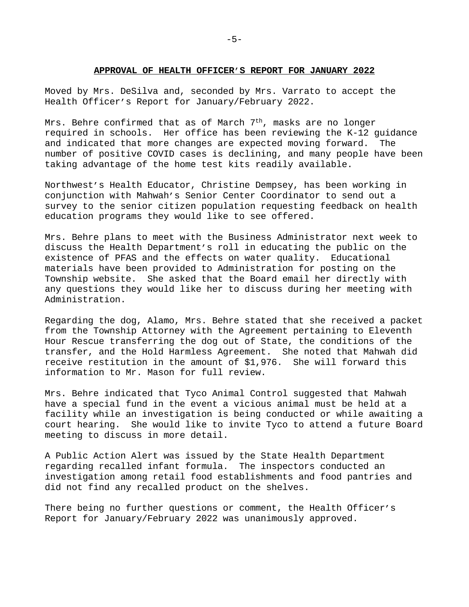#### **APPROVAL OF HEALTH OFFICER'S REPORT FOR JANUARY 2022**

Moved by Mrs. DeSilva and, seconded by Mrs. Varrato to accept the Health Officer's Report for January/February 2022.

Mrs. Behre confirmed that as of March  $7<sup>th</sup>$ , masks are no longer required in schools. Her office has been reviewing the K-12 guidance and indicated that more changes are expected moving forward. The number of positive COVID cases is declining, and many people have been taking advantage of the home test kits readily available.

Northwest's Health Educator, Christine Dempsey, has been working in conjunction with Mahwah's Senior Center Coordinator to send out a survey to the senior citizen population requesting feedback on health education programs they would like to see offered.

Mrs. Behre plans to meet with the Business Administrator next week to discuss the Health Department's roll in educating the public on the existence of PFAS and the effects on water quality. Educational materials have been provided to Administration for posting on the Township website. She asked that the Board email her directly with any questions they would like her to discuss during her meeting with Administration.

Regarding the dog, Alamo, Mrs. Behre stated that she received a packet from the Township Attorney with the Agreement pertaining to Eleventh Hour Rescue transferring the dog out of State, the conditions of the transfer, and the Hold Harmless Agreement. She noted that Mahwah did receive restitution in the amount of \$1,976. She will forward this information to Mr. Mason for full review.

Mrs. Behre indicated that Tyco Animal Control suggested that Mahwah have a special fund in the event a vicious animal must be held at a facility while an investigation is being conducted or while awaiting a court hearing. She would like to invite Tyco to attend a future Board meeting to discuss in more detail.

A Public Action Alert was issued by the State Health Department regarding recalled infant formula. The inspectors conducted an investigation among retail food establishments and food pantries and did not find any recalled product on the shelves.

There being no further questions or comment, the Health Officer's Report for January/February 2022 was unanimously approved.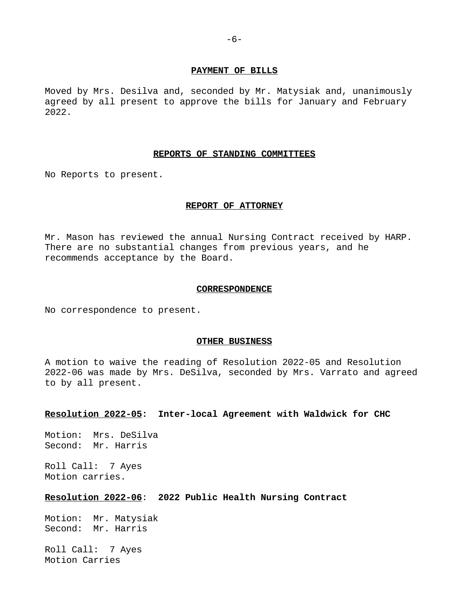#### **PAYMENT OF BILLS**

Moved by Mrs. Desilva and, seconded by Mr. Matysiak and, unanimously agreed by all present to approve the bills for January and February 2022.

#### **REPORTS OF STANDING COMMITTEES**

No Reports to present.

#### **REPORT OF ATTORNEY**

Mr. Mason has reviewed the annual Nursing Contract received by HARP. There are no substantial changes from previous years, and he recommends acceptance by the Board.

#### **CORRESPONDENCE**

No correspondence to present.

#### **OTHER BUSINESS**

A motion to waive the reading of Resolution 2022-05 and Resolution 2022-06 was made by Mrs. DeSilva, seconded by Mrs. Varrato and agreed to by all present.

### **Resolution 2022-05: Inter-local Agreement with Waldwick for CHC**

Motion: Mrs. DeSilva Second: Mr. Harris

Roll Call: 7 Ayes Motion carries.

# **Resolution 2022-06**: **2022 Public Health Nursing Contract**

Motion: Mr. Matysiak Second: Mr. Harris

Roll Call: 7 Ayes Motion Carries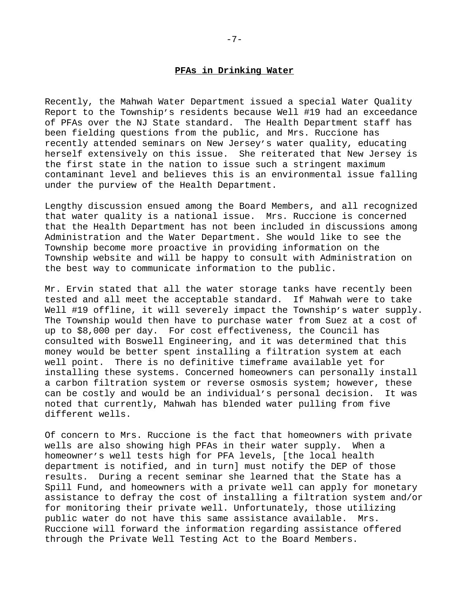### **PFAs in Drinking Water**

Recently, the Mahwah Water Department issued a special Water Quality Report to the Township's residents because Well #19 had an exceedance of PFAs over the NJ State standard. The Health Department staff has been fielding questions from the public, and Mrs. Ruccione has recently attended seminars on New Jersey's water quality, educating herself extensively on this issue. She reiterated that New Jersey is the first state in the nation to issue such a stringent maximum contaminant level and believes this is an environmental issue falling under the purview of the Health Department.

Lengthy discussion ensued among the Board Members, and all recognized that water quality is a national issue. Mrs. Ruccione is concerned that the Health Department has not been included in discussions among Administration and the Water Department. She would like to see the Township become more proactive in providing information on the Township website and will be happy to consult with Administration on the best way to communicate information to the public.

Mr. Ervin stated that all the water storage tanks have recently been tested and all meet the acceptable standard. If Mahwah were to take Well #19 offline, it will severely impact the Township's water supply. The Township would then have to purchase water from Suez at a cost of up to \$8,000 per day. For cost effectiveness, the Council has consulted with Boswell Engineering, and it was determined that this money would be better spent installing a filtration system at each well point. There is no definitive timeframe available yet for installing these systems. Concerned homeowners can personally install a carbon filtration system or reverse osmosis system; however, these can be costly and would be an individual's personal decision. It was noted that currently, Mahwah has blended water pulling from five different wells.

Of concern to Mrs. Ruccione is the fact that homeowners with private wells are also showing high PFAs in their water supply. When a homeowner's well tests high for PFA levels, [the local health department is notified, and in turn] must notify the DEP of those results. During a recent seminar she learned that the State has a Spill Fund, and homeowners with a private well can apply for monetary assistance to defray the cost of installing a filtration system and/or for monitoring their private well. Unfortunately, those utilizing public water do not have this same assistance available. Mrs. Ruccione will forward the information regarding assistance offered through the Private Well Testing Act to the Board Members.